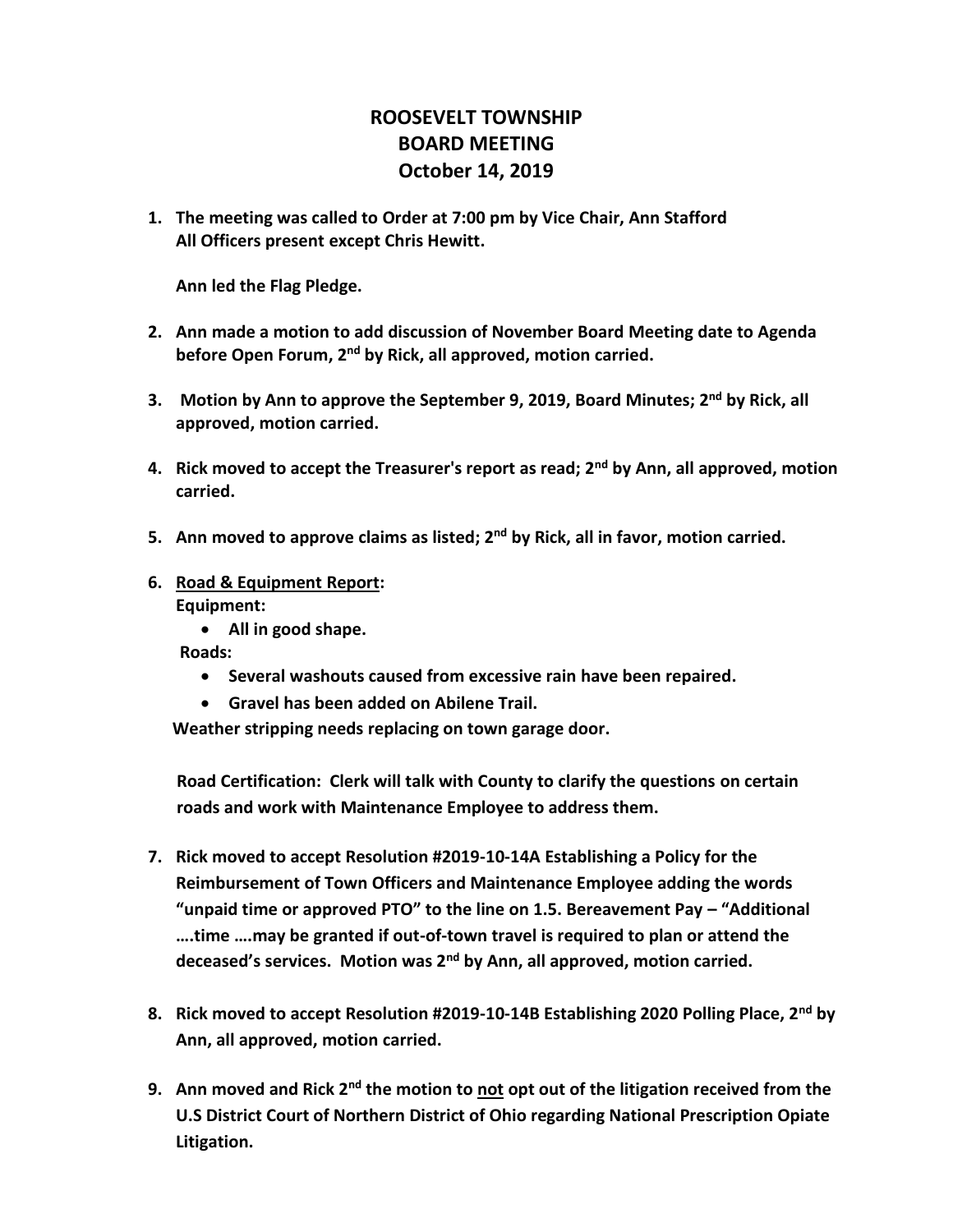## **ROOSEVELT TOWNSHIP BOARD MEETING October 14, 2019**

**1. The meeting was called to Order at 7:00 pm by Vice Chair, Ann Stafford All Officers present except Chris Hewitt.**

**Ann led the Flag Pledge.**

- **2. Ann made a motion to add discussion of November Board Meeting date to Agenda before Open Forum, 2nd by Rick, all approved, motion carried.**
- **3. Motion by Ann to approve the September 9, 2019, Board Minutes; 2 nd by Rick, all approved, motion carried.**
- **4. Rick moved to accept the Treasurer's report as read; 2nd by Ann, all approved, motion carried.**
- **5. Ann moved to approve claims as listed; 2nd by Rick, all in favor, motion carried.**
- **6. Road & Equipment Report: Equipment:**
	- **All in good shape.**

 **Roads:** 

- **Several washouts caused from excessive rain have been repaired.**
- **Gravel has been added on Abilene Trail.**

**Weather stripping needs replacing on town garage door.**

**Road Certification: Clerk will talk with County to clarify the questions on certain roads and work with Maintenance Employee to address them.**

- **7. Rick moved to accept Resolution #2019-10-14A Establishing a Policy for the Reimbursement of Town Officers and Maintenance Employee adding the words "unpaid time or approved PTO" to the line on 1.5. Bereavement Pay – "Additional ….time ….may be granted if out-of-town travel is required to plan or attend the deceased's services. Motion was 2nd by Ann, all approved, motion carried.**
- **8. Rick moved to accept Resolution #2019-10-14B Establishing 2020 Polling Place, 2nd by Ann, all approved, motion carried.**
- **9. Ann moved and Rick 2nd the motion to not opt out of the litigation received from the U.S District Court of Northern District of Ohio regarding National Prescription Opiate Litigation.**